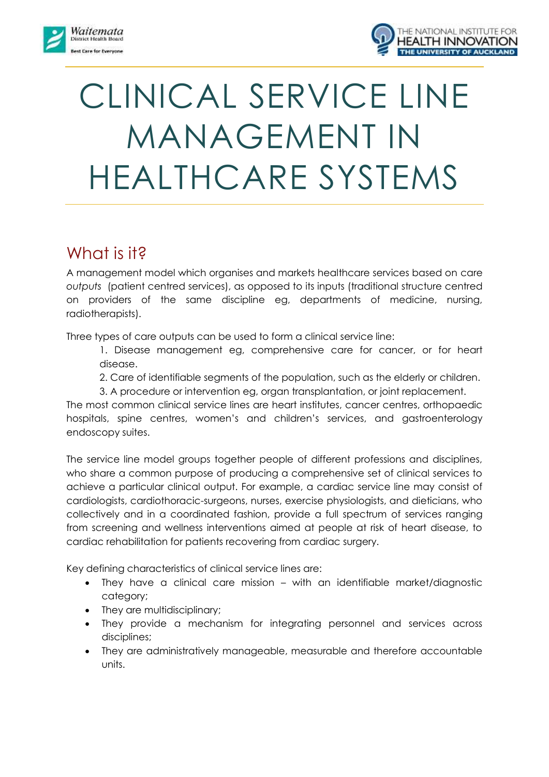



# CLINICAL SERVICE LINE MANAGEMENT IN HEALTHCARE SYSTEMS

### What is it?

A management model which organises and markets healthcare services based on care *outputs* (patient centred services), as opposed to its inputs (traditional structure centred on providers of the same discipline eg, departments of medicine, nursing, radiotherapists).

Three types of care outputs can be used to form a clinical service line:

1. Disease management eg, comprehensive care for cancer, or for heart disease.

2. Care of identifiable segments of the population, such as the elderly or children.

3. A procedure or intervention eg, organ transplantation, or joint replacement.

The most common clinical service lines are heart institutes, cancer centres, orthopaedic hospitals, spine centres, women's and children's services, and gastroenterology endoscopy suites.

The service line model groups together people of different professions and disciplines, who share a common purpose of producing a comprehensive set of clinical services to achieve a particular clinical output. For example, a cardiac service line may consist of cardiologists, cardiothoracic-surgeons, nurses, exercise physiologists, and dieticians, who collectively and in a coordinated fashion, provide a full spectrum of services ranging from screening and wellness interventions aimed at people at risk of heart disease, to cardiac rehabilitation for patients recovering from cardiac surgery.

Key defining characteristics of clinical service lines are:

- They have a clinical care mission with an identifiable market/diagnostic category;
- They are multidisciplinary;
- They provide a mechanism for integrating personnel and services across disciplines;
- They are administratively manageable, measurable and therefore accountable units.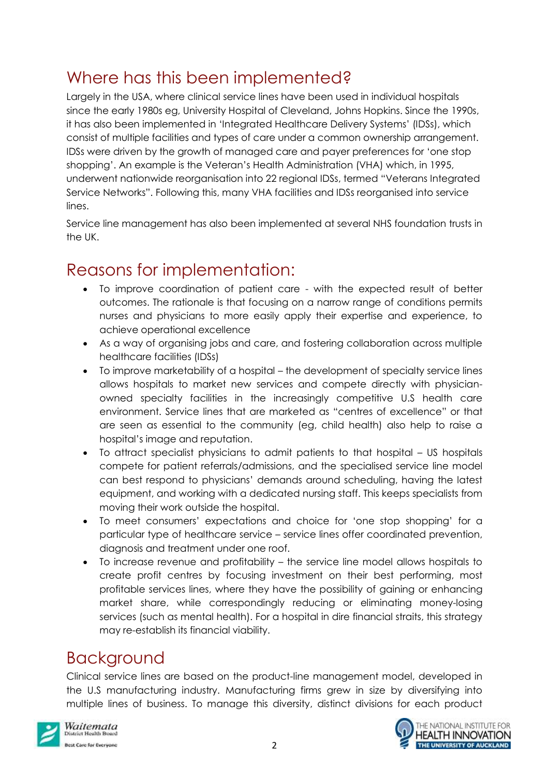# Where has this been implemented?

Largely in the USA, where clinical service lines have been used in individual hospitals since the early 1980s eg, University Hospital of Cleveland, Johns Hopkins. Since the 1990s, it has also been implemented in 'Integrated Healthcare Delivery Systems' (IDSs), which consist of multiple facilities and types of care under a common ownership arrangement. IDSs were driven by the growth of managed care and payer preferences for 'one stop shopping'. An example is the Veteran's Health Administration (VHA) which, in 1995, underwent nationwide reorganisation into 22 regional IDSs, termed "Veterans Integrated Service Networks". Following this, many VHA facilities and IDSs reorganised into service lines.

Service line management has also been implemented at several NHS foundation trusts in the UK.

# Reasons for implementation:

- To improve coordination of patient care with the expected result of better outcomes. The rationale is that focusing on a narrow range of conditions permits nurses and physicians to more easily apply their expertise and experience, to achieve operational excellence
- As a way of organising jobs and care, and fostering collaboration across multiple healthcare facilities (IDSs)
- To improve marketability of a hospital the development of specialty service lines allows hospitals to market new services and compete directly with physicianowned specialty facilities in the increasingly competitive U.S health care environment. Service lines that are marketed as "centres of excellence" or that are seen as essential to the community (eg, child health) also help to raise a hospital's image and reputation.
- To attract specialist physicians to admit patients to that hospital US hospitals compete for patient referrals/admissions, and the specialised service line model can best respond to physicians' demands around scheduling, having the latest equipment, and working with a dedicated nursing staff. This keeps specialists from moving their work outside the hospital.
- To meet consumers' expectations and choice for 'one stop shopping' for a particular type of healthcare service – service lines offer coordinated prevention, diagnosis and treatment under one roof.
- To increase revenue and profitability the service line model allows hospitals to create profit centres by focusing investment on their best performing, most profitable services lines, where they have the possibility of gaining or enhancing market share, while correspondingly reducing or eliminating money-losing services (such as mental health). For a hospital in dire financial straits, this strategy may re-establish its financial viability.

# Background

Clinical service lines are based on the product-line management model, developed in the U.S manufacturing industry. Manufacturing firms grew in size by diversifying into multiple lines of business. To manage this diversity, distinct divisions for each product



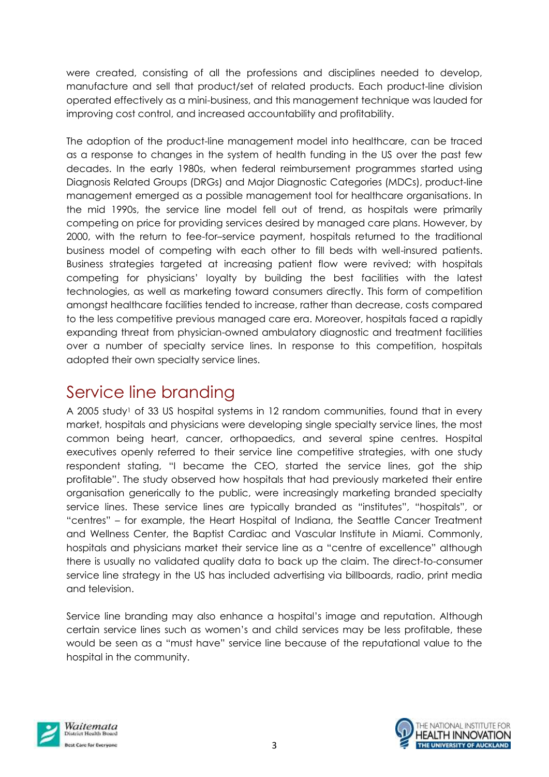were created, consisting of all the professions and disciplines needed to develop, manufacture and sell that product/set of related products. Each product-line division operated effectively as a mini-business, and this management technique was lauded for improving cost control, and increased accountability and profitability.

The adoption of the product-line management model into healthcare, can be traced as a response to changes in the system of health funding in the US over the past few decades. In the early 1980s, when federal reimbursement programmes started using Diagnosis Related Groups (DRGs) and Major Diagnostic Categories (MDCs), product-line management emerged as a possible management tool for healthcare organisations. In the mid 1990s, the service line model fell out of trend, as hospitals were primarily competing on price for providing services desired by managed care plans. However, by 2000, with the return to fee-for–service payment, hospitals returned to the traditional business model of competing with each other to fill beds with well-insured patients. Business strategies targeted at increasing patient flow were revived; with hospitals competing for physicians' loyalty by building the best facilities with the latest technologies, as well as marketing toward consumers directly. This form of competition amongst healthcare facilities tended to increase, rather than decrease, costs compared to the less competitive previous managed care era. Moreover, hospitals faced a rapidly expanding threat from physician-owned ambulatory diagnostic and treatment facilities over a number of specialty service lines. In response to this competition, hospitals adopted their own specialty service lines.

### Service line branding

A 2005 study<sup>1</sup> of 33 US hospital systems in 12 random communities, found that in every market, hospitals and physicians were developing single specialty service lines, the most common being heart, cancer, orthopaedics, and several spine centres. Hospital executives openly referred to their service line competitive strategies, with one study respondent stating, "I became the CEO, started the service lines, got the ship profitable". The study observed how hospitals that had previously marketed their entire organisation generically to the public, were increasingly marketing branded specialty service lines. These service lines are typically branded as "institutes", "hospitals", or "centres" – for example, the Heart Hospital of Indiana, the Seattle Cancer Treatment and Wellness Center, the Baptist Cardiac and Vascular Institute in Miami. Commonly, hospitals and physicians market their service line as a "centre of excellence" although there is usually no validated quality data to back up the claim. The direct-to-consumer service line strategy in the US has included advertising via billboards, radio, print media and television.

Service line branding may also enhance a hospital's image and reputation. Although certain service lines such as women's and child services may be less profitable, these would be seen as a "must have" service line because of the reputational value to the hospital in the community.



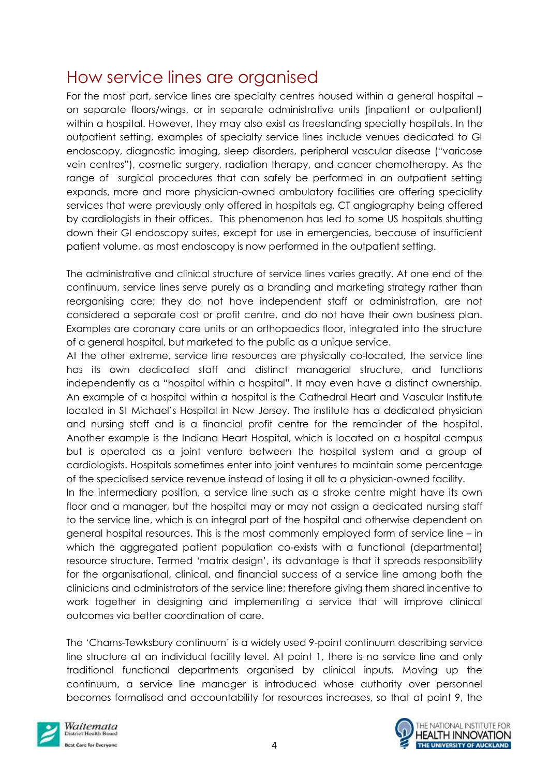### How service lines are organised

For the most part, service lines are specialty centres housed within a general hospital – on separate floors/wings, or in separate administrative units (inpatient or outpatient) within a hospital. However, they may also exist as freestanding specialty hospitals. In the outpatient setting, examples of specialty service lines include venues dedicated to GI endoscopy, diagnostic imaging, sleep disorders, peripheral vascular disease ("varicose vein centres"), cosmetic surgery, radiation therapy, and cancer chemotherapy. As the range of surgical procedures that can safely be performed in an outpatient setting expands, more and more physician-owned ambulatory facilities are offering speciality services that were previously only offered in hospitals eg, CT angiography being offered by cardiologists in their offices. This phenomenon has led to some US hospitals shutting down their GI endoscopy suites, except for use in emergencies, because of insufficient patient volume, as most endoscopy is now performed in the outpatient setting.

The administrative and clinical structure of service lines varies greatly. At one end of the continuum, service lines serve purely as a branding and marketing strategy rather than reorganising care; they do not have independent staff or administration, are not considered a separate cost or profit centre, and do not have their own business plan. Examples are coronary care units or an orthopaedics floor, integrated into the structure of a general hospital, but marketed to the public as a unique service.

At the other extreme, service line resources are physically co-located, the service line has its own dedicated staff and distinct managerial structure, and functions independently as a "hospital within a hospital". It may even have a distinct ownership. An example of a hospital within a hospital is the Cathedral Heart and Vascular Institute located in St Michael's Hospital in New Jersey. The institute has a dedicated physician and nursing staff and is a financial profit centre for the remainder of the hospital. Another example is the Indiana Heart Hospital, which is located on a hospital campus but is operated as a joint venture between the hospital system and a group of cardiologists. Hospitals sometimes enter into joint ventures to maintain some percentage of the specialised service revenue instead of losing it all to a physician-owned facility.

In the intermediary position, a service line such as a stroke centre might have its own floor and a manager, but the hospital may or may not assign a dedicated nursing staff to the service line, which is an integral part of the hospital and otherwise dependent on general hospital resources. This is the most commonly employed form of service line – in which the aggregated patient population co-exists with a functional (departmental) resource structure. Termed 'matrix design', its advantage is that it spreads responsibility for the organisational, clinical, and financial success of a service line among both the clinicians and administrators of the service line; therefore giving them shared incentive to work together in designing and implementing a service that will improve clinical outcomes via better coordination of care.

The 'Charns-Tewksbury continuum' is a widely used 9-point continuum describing service line structure at an individual facility level. At point 1, there is no service line and only traditional functional departments organised by clinical inputs. Moving up the continuum, a service line manager is introduced whose authority over personnel becomes formalised and accountability for resources increases, so that at point 9, the



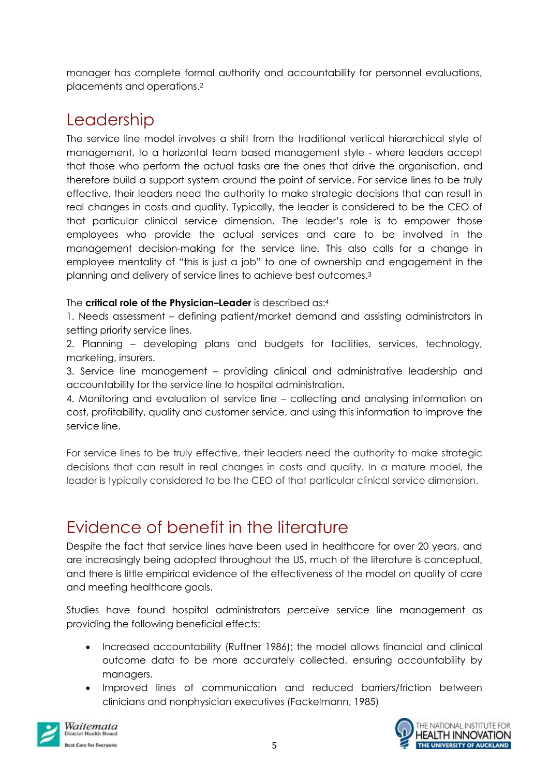manager has complete formal authority and accountability for personnel evaluations, placements and operations.<sup>2</sup>

## Leadership

The service line model involves a shift from the traditional vertical hierarchical style of management, to a horizontal team based management style - where leaders accept that those who perform the actual tasks are the ones that drive the organisation, and therefore build a support system around the point of service. For service lines to be truly effective, their leaders need the authority to make strategic decisions that can result in real changes in costs and quality. Typically, the leader is considered to be the CEO of that particular clinical service dimension. The leader's role is to empower those employees who provide the actual services and care to be involved in the management decision-making for the service line. This also calls for a change in employee mentality of "this is just a job" to one of ownership and engagement in the planning and delivery of service lines to achieve best outcomes.<sup>3</sup>

#### The **critical role of the Physician–Leader** is described as: 4

1. Needs assessment – defining patient/market demand and assisting administrators in setting priority service lines.

2. Planning – developing plans and budgets for facilities, services, technology, marketing, insurers.

3. Service line management – providing clinical and administrative leadership and accountability for the service line to hospital administration.

4. Monitoring and evaluation of service line – collecting and analysing information on cost, profitability, quality and customer service, and using this information to improve the service line.

For service lines to be truly effective, their leaders need the authority to make strategic decisions that can result in real changes in costs and quality. In a mature model, the leader is typically considered to be the CEO of that particular clinical service dimension.

### Evidence of benefit in the literature

Despite the fact that service lines have been used in healthcare for over 20 years, and are increasingly being adopted throughout the US, much of the literature is conceptual, and there is little empirical evidence of the effectiveness of the model on quality of care and meeting healthcare goals.

Studies have found hospital administrators *perceive* service line management as providing the following beneficial effects:

- Increased accountability (Ruffner 1986); the model allows financial and clinical outcome data to be more accurately collected, ensuring accountability by managers.
- Improved lines of communication and reduced barriers/friction between clinicians and nonphysician executives (Fackelmann, 1985)



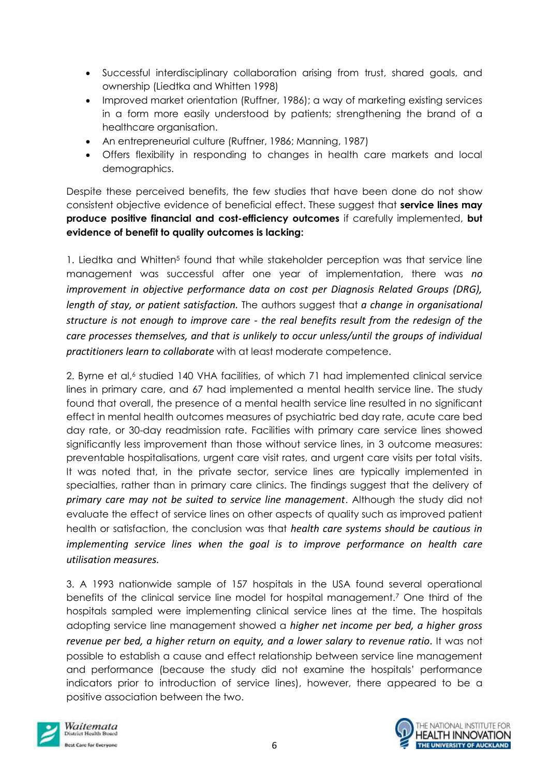- Successful interdisciplinary collaboration arising from trust, shared goals, and ownership (Liedtka and Whitten 1998)
- Improved market orientation (Ruffner, 1986); a way of marketing existing services in a form more easily understood by patients; strengthening the brand of a healthcare organisation.
- An entrepreneurial culture (Ruffner, 1986; Manning, 1987)
- Offers flexibility in responding to changes in health care markets and local demographics.

Despite these perceived benefits, the few studies that have been done do not show consistent objective evidence of beneficial effect. These suggest that **service lines may produce positive financial and cost-efficiency outcomes** if carefully implemented, **but evidence of benefit to quality outcomes is lacking:**

1. Liedtka and Whitten<sup>5</sup> found that while stakeholder perception was that service line management was successful after one year of implementation, there was *no improvement in objective performance data on cost per Diagnosis Related Groups (DRG), length of stay, or patient satisfaction.* The authors suggest that *a change in organisational structure is not enough to improve care - the real benefits result from the redesign of the care processes themselves, and that is unlikely to occur unless/until the groups of individual practitioners learn to collaborate* with at least moderate competence.

2. Byrne et al,<sup>6</sup> studied 140 VHA facilities, of which 71 had implemented clinical service lines in primary care, and 67 had implemented a mental health service line. The study found that overall, the presence of a mental health service line resulted in no significant effect in mental health outcomes measures of psychiatric bed day rate, acute care bed day rate, or 30-day readmission rate. Facilities with primary care service lines showed significantly less improvement than those without service lines, in 3 outcome measures: preventable hospitalisations, urgent care visit rates, and urgent care visits per total visits. It was noted that, in the private sector, service lines are typically implemented in specialties, rather than in primary care clinics. The findings suggest that the delivery of *primary care may not be suited to service line management*. Although the study did not evaluate the effect of service lines on other aspects of quality such as improved patient health or satisfaction, the conclusion was that *health care systems should be cautious in implementing service lines when the goal is to improve performance on health care utilisation measures.*

3. A 1993 nationwide sample of 157 hospitals in the USA found several operational benefits of the clinical service line model for hospital management.<sup>7</sup> One third of the hospitals sampled were implementing clinical service lines at the time. The hospitals adopting service line management showed a *higher net income per bed, a higher gross revenue per bed, a higher return on equity, and a lower salary to revenue ratio*. It was not possible to establish a cause and effect relationship between service line management and performance (because the study did not examine the hospitals' performance indicators prior to introduction of service lines), however, there appeared to be a positive association between the two.



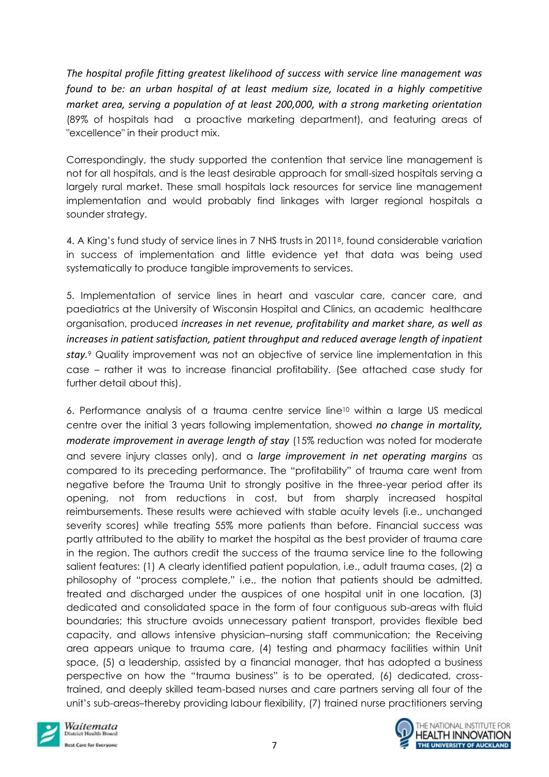*The hospital profile fitting greatest likelihood of success with service line management was found to be: an urban hospital of at least medium size, located in a highly competitive market area, serving a population of at least 200,000, with a strong marketing orientation* (89% of hospitals had a proactive marketing department), and featuring areas of "excellence" in their product mix.

Correspondingly, the study supported the contention that service line management is not for all hospitals, and is the least desirable approach for small-sized hospitals serving a largely rural market. These small hospitals lack resources for service line management implementation and would probably find linkages with larger regional hospitals a sounder strategy.

4. A King's fund study of service lines in 7 NHS trusts in 20118, found considerable variation in success of implementation and little evidence yet that data was being used systematically to produce tangible improvements to services.

5. Implementation of service lines in heart and vascular care, cancer care, and paediatrics at the University of Wisconsin Hospital and Clinics, an academic healthcare organisation, produced *increases in net revenue, profitability and market share, as well as increases in patient satisfaction, patient throughput and reduced average length of inpatient stay.*<sup>9</sup> Quality improvement was not an objective of service line implementation in this case – rather it was to increase financial profitability. (See attached case study for further detail about this).

6. Performance analysis of a trauma centre service line<sup>10</sup> within a large US medical centre over the initial 3 years following implementation, showed *no change in mortality, moderate improvement in average length of stay* (15% reduction was noted for moderate and severe injury classes only), and a *large improvement in net operating margins* as compared to its preceding performance. The "profitability" of trauma care went from negative before the Trauma Unit to strongly positive in the three-year period after its opening, not from reductions in cost, but from sharply increased hospital reimbursements. These results were achieved with stable acuity levels (i.e., unchanged severity scores) while treating 55% more patients than before. Financial success was partly attributed to the ability to market the hospital as the best provider of trauma care in the region. The authors credit the success of the trauma service line to the following salient features: (1) A clearly identified patient population, i.e., adult trauma cases, (2) a philosophy of "process complete," i.e., the notion that patients should be admitted, treated and discharged under the auspices of one hospital unit in one location, (3) dedicated and consolidated space in the form of four contiguous sub-areas with fluid boundaries; this structure avoids unnecessary patient transport, provides flexible bed capacity, and allows intensive physician–nursing staff communication; the Receiving area appears unique to trauma care, (4) testing and pharmacy facilities within Unit space, (5) a leadership, assisted by a financial manager, that has adopted a business perspective on how the "trauma business" is to be operated, (6) dedicated, crosstrained, and deeply skilled team-based nurses and care partners serving all four of the unit's sub-areas-thereby providing labour flexibility, (7) trained nurse practitioners serving



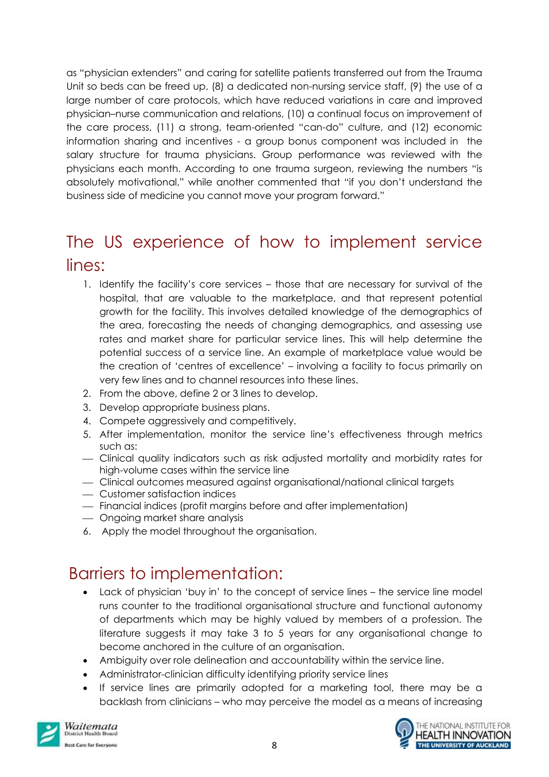as "physician extenders" and caring for satellite patients transferred out from the Trauma Unit so beds can be freed up, (8) a dedicated non-nursing service staff, (9) the use of a large number of care protocols, which have reduced variations in care and improved physician–nurse communication and relations, (10) a continual focus on improvement of the care process, (11) a strong, team-oriented "can-do" culture, and (12) economic information sharing and incentives - a group bonus component was included in the salary structure for trauma physicians. Group performance was reviewed with the physicians each month. According to one trauma surgeon, reviewing the numbers "is absolutely motivational," while another commented that "if you don't understand the business side of medicine you cannot move your program forward."

# The US experience of how to implement service lines:

- 1. Identify the facility's core services those that are necessary for survival of the hospital, that are valuable to the marketplace, and that represent potential growth for the facility. This involves detailed knowledge of the demographics of the area, forecasting the needs of changing demographics, and assessing use rates and market share for particular service lines. This will help determine the potential success of a service line. An example of marketplace value would be the creation of 'centres of excellence' – involving a facility to focus primarily on very few lines and to channel resources into these lines.
- 2. From the above, define 2 or 3 lines to develop.
- 3. Develop appropriate business plans.
- 4. Compete aggressively and competitively.
- 5. After implementation, monitor the service line's effectiveness through metrics such as:
- Clinical quality indicators such as risk adjusted mortality and morbidity rates for high-volume cases within the service line
- Clinical outcomes measured against organisational/national clinical targets
- Customer satisfaction indices
- Financial indices (profit margins before and after implementation)
- Ongoing market share analysis
- 6. Apply the model throughout the organisation.

### Barriers to implementation:

- Lack of physician 'buy in' to the concept of service lines the service line model runs counter to the traditional organisational structure and functional autonomy of departments which may be highly valued by members of a profession. The literature suggests it may take 3 to 5 years for any organisational change to become anchored in the culture of an organisation.
- Ambiguity over role delineation and accountability within the service line.
- Administrator-clinician difficulty identifying priority service lines
- If service lines are primarily adopted for a marketing tool, there may be a backlash from clinicians – who may perceive the model as a means of increasing



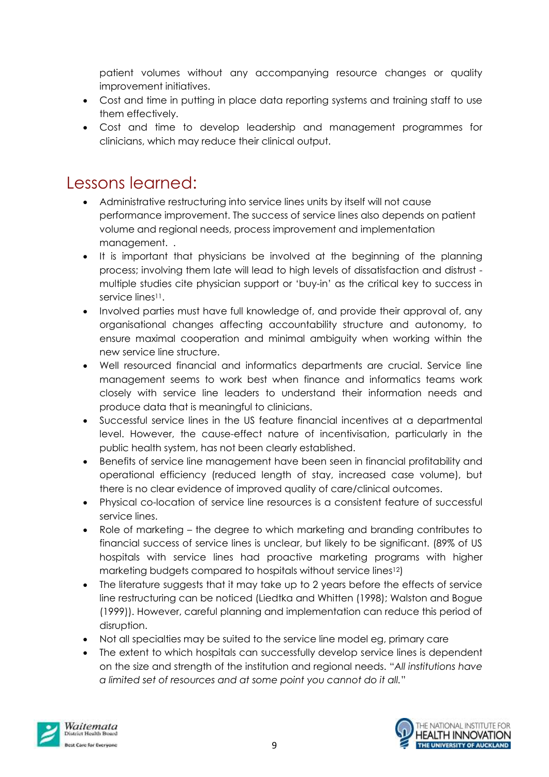patient volumes without any accompanying resource changes or quality improvement initiatives.

- Cost and time in putting in place data reporting systems and training staff to use them effectively.
- Cost and time to develop leadership and management programmes for clinicians, which may reduce their clinical output.

### Lessons learned:

- Administrative restructuring into service lines units by itself will not cause performance improvement. The success of service lines also depends on patient volume and regional needs, process improvement and implementation management. .
- It is important that physicians be involved at the beginning of the planning process; involving them late will lead to high levels of dissatisfaction and distrust multiple studies cite physician support or 'buy-in' as the critical key to success in service lines<sup>11</sup>.
- Involved parties must have full knowledge of, and provide their approval of, any organisational changes affecting accountability structure and autonomy, to ensure maximal cooperation and minimal ambiguity when working within the new service line structure.
- Well resourced financial and informatics departments are crucial. Service line management seems to work best when finance and informatics teams work closely with service line leaders to understand their information needs and produce data that is meaningful to clinicians.
- Successful service lines in the US feature financial incentives at a departmental level. However, the cause-effect nature of incentivisation, particularly in the public health system, has not been clearly established.
- Benefits of service line management have been seen in financial profitability and operational efficiency (reduced length of stay, increased case volume), but there is no clear evidence of improved quality of care/clinical outcomes.
- Physical co-location of service line resources is a consistent feature of successful service lines.
- Role of marketing the degree to which marketing and branding contributes to financial success of service lines is unclear, but likely to be significant. (89% of US hospitals with service lines had proactive marketing programs with higher marketing budgets compared to hospitals without service lines12)
- The literature suggests that it may take up to 2 years before the effects of service line restructuring can be noticed [\(Liedtka and Whitten \(1998\);](http://www.sciencedirect.com.ezproxy.auckland.ac.nz/science/article/pii/S0272696308000600?np=y#bib53) [Walston and Bogue](http://www.sciencedirect.com.ezproxy.auckland.ac.nz/science/article/pii/S0272696308000600?np=y#bib88)  [\(1999\)\)](http://www.sciencedirect.com.ezproxy.auckland.ac.nz/science/article/pii/S0272696308000600?np=y#bib88). However, careful planning and implementation can reduce this period of disruption.
- Not all specialties may be suited to the service line model eg, primary care
- The extent to which hospitals can successfully develop service lines is dependent on the size and strength of the institution and regional needs. "*All institutions have a limited set of resources and at some point you cannot do it all.*"



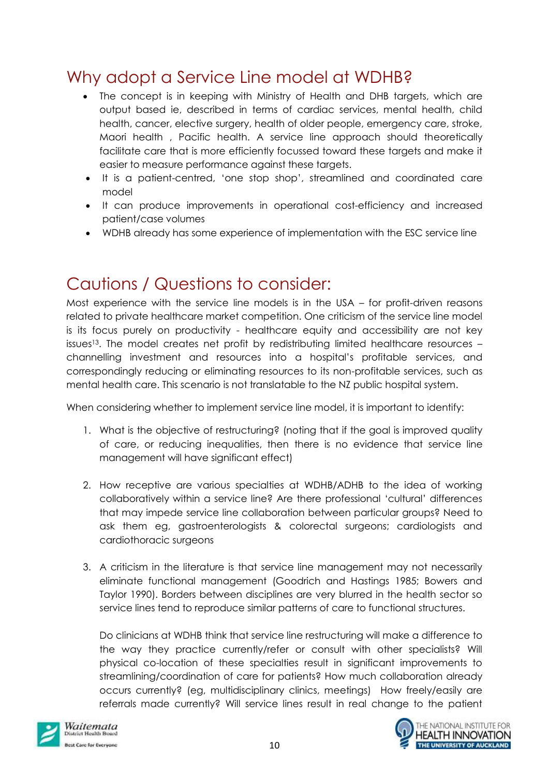## Why adopt a Service Line model at WDHB?

- The concept is in keeping with Ministry of Health and DHB targets, which are output based ie, described in terms of cardiac services, mental health, child health, cancer, elective surgery, health of older people, emergency care, stroke, Maori health , Pacific health. A service line approach should theoretically facilitate care that is more efficiently focussed toward these targets and make it easier to measure performance against these targets.
- It is a patient-centred, 'one stop shop', streamlined and coordinated care model
- It can produce improvements in operational cost-efficiency and increased patient/case volumes
- WDHB already has some experience of implementation with the ESC service line

# Cautions / Questions to consider:

Most experience with the service line models is in the USA – for profit-driven reasons related to private healthcare market competition. One criticism of the service line model is its focus purely on productivity - healthcare equity and accessibility are not key issues<sup>13</sup>. The model creates net profit by redistributing limited healthcare resources  $$ channelling investment and resources into a hospital's profitable services, and correspondingly reducing or eliminating resources to its non-profitable services, such as mental health care. This scenario is not translatable to the NZ public hospital system.

When considering whether to implement service line model, it is important to identify:

- 1. What is the objective of restructuring? (noting that if the goal is improved quality of care, or reducing inequalities, then there is no evidence that service line management will have significant effect)
- 2. How receptive are various specialties at WDHB/ADHB to the idea of working collaboratively within a service line? Are there professional 'cultural' differences that may impede service line collaboration between particular groups? Need to ask them eg, gastroenterologists & colorectal surgeons; cardiologists and cardiothoracic surgeons
- 3. A criticism in the literature is that service line management may not necessarily eliminate functional management (Goodrich and Hastings 1985; Bowers and Taylor 1990). Borders between disciplines are very blurred in the health sector so service lines tend to reproduce similar patterns of care to functional structures.

Do clinicians at WDHB think that service line restructuring will make a difference to the way they practice currently/refer or consult with other specialists? Will physical co-location of these specialties result in significant improvements to streamlining/coordination of care for patients? How much collaboration already occurs currently? (eg, multidisciplinary clinics, meetings) How freely/easily are referrals made currently? Will service lines result in real change to the patient



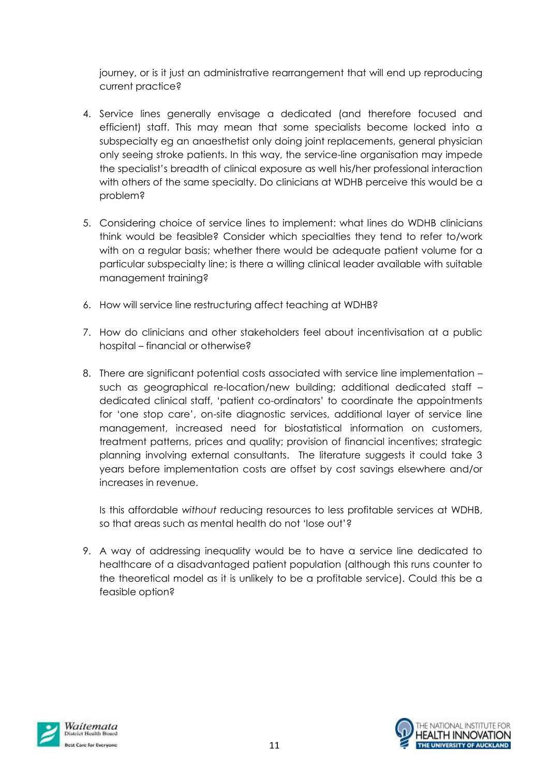journey, or is it just an administrative rearrangement that will end up reproducing current practice?

- 4. Service lines generally envisage a dedicated (and therefore focused and efficient) staff. This may mean that some specialists become locked into a subspecialty eg an anaesthetist only doing joint replacements, general physician only seeing stroke patients. In this way, the service-line organisation may impede the specialist's breadth of clinical exposure as well his/her professional interaction with others of the same specialty. Do clinicians at WDHB perceive this would be a problem?
- 5. Considering choice of service lines to implement: what lines do WDHB clinicians think would be feasible? Consider which specialties they tend to refer to/work with on a regular basis; whether there would be adequate patient volume for a particular subspecialty line; is there a willing clinical leader available with suitable management training?
- 6. How will service line restructuring affect teaching at WDHB?
- 7. How do clinicians and other stakeholders feel about incentivisation at a public hospital – financial or otherwise?
- 8. There are significant potential costs associated with service line implementation such as geographical re-location/new building; additional dedicated staff – dedicated clinical staff, 'patient co-ordinators' to coordinate the appointments for 'one stop care', on-site diagnostic services, additional layer of service line management, increased need for biostatistical information on customers, treatment patterns, prices and quality; provision of financial incentives; strategic planning involving external consultants. The literature suggests it could take 3 years before implementation costs are offset by cost savings elsewhere and/or increases in revenue.

Is this affordable *without* reducing resources to less profitable services at WDHB, so that areas such as mental health do not 'lose out'?

9. A way of addressing inequality would be to have a service line dedicated to healthcare of a disadvantaged patient population (although this runs counter to the theoretical model as it is unlikely to be a profitable service). Could this be a feasible option?